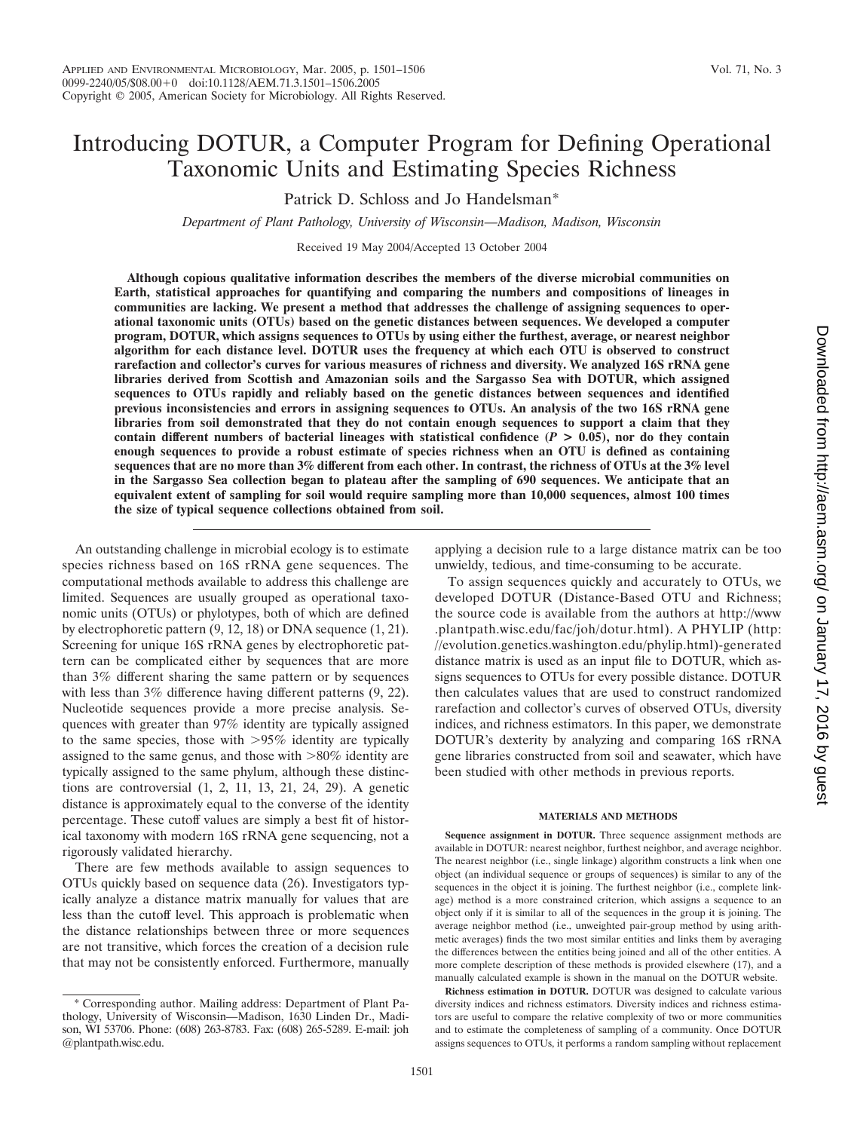# Introducing DOTUR, a Computer Program for Defining Operational Taxonomic Units and Estimating Species Richness

Patrick D. Schloss and Jo Handelsman\*

*Department of Plant Pathology, University of Wisconsin—Madison, Madison, Wisconsin*

Received 19 May 2004/Accepted 13 October 2004

**Although copious qualitative information describes the members of the diverse microbial communities on Earth, statistical approaches for quantifying and comparing the numbers and compositions of lineages in communities are lacking. We present a method that addresses the challenge of assigning sequences to operational taxonomic units (OTUs) based on the genetic distances between sequences. We developed a computer program, DOTUR, which assigns sequences to OTUs by using either the furthest, average, or nearest neighbor algorithm for each distance level. DOTUR uses the frequency at which each OTU is observed to construct rarefaction and collector's curves for various measures of richness and diversity. We analyzed 16S rRNA gene libraries derived from Scottish and Amazonian soils and the Sargasso Sea with DOTUR, which assigned sequences to OTUs rapidly and reliably based on the genetic distances between sequences and identified previous inconsistencies and errors in assigning sequences to OTUs. An analysis of the two 16S rRNA gene libraries from soil demonstrated that they do not contain enough sequences to support a claim that they** contain different numbers of bacterial lineages with statistical confidence  $(P > 0.05)$ , nor do they contain **enough sequences to provide a robust estimate of species richness when an OTU is defined as containing sequences that are no more than 3% different from each other. In contrast, the richness of OTUs at the 3% level in the Sargasso Sea collection began to plateau after the sampling of 690 sequences. We anticipate that an equivalent extent of sampling for soil would require sampling more than 10,000 sequences, almost 100 times the size of typical sequence collections obtained from soil.**

An outstanding challenge in microbial ecology is to estimate species richness based on 16S rRNA gene sequences. The computational methods available to address this challenge are limited. Sequences are usually grouped as operational taxonomic units (OTUs) or phylotypes, both of which are defined by electrophoretic pattern (9, 12, 18) or DNA sequence (1, 21). Screening for unique 16S rRNA genes by electrophoretic pattern can be complicated either by sequences that are more than 3% different sharing the same pattern or by sequences with less than 3% difference having different patterns  $(9, 22)$ . Nucleotide sequences provide a more precise analysis. Sequences with greater than 97% identity are typically assigned to the same species, those with  $> 95\%$  identity are typically assigned to the same genus, and those with  $>80\%$  identity are typically assigned to the same phylum, although these distinctions are controversial (1, 2, 11, 13, 21, 24, 29). A genetic distance is approximately equal to the converse of the identity percentage. These cutoff values are simply a best fit of historical taxonomy with modern 16S rRNA gene sequencing, not a rigorously validated hierarchy.

There are few methods available to assign sequences to OTUs quickly based on sequence data (26). Investigators typically analyze a distance matrix manually for values that are less than the cutoff level. This approach is problematic when the distance relationships between three or more sequences are not transitive, which forces the creation of a decision rule that may not be consistently enforced. Furthermore, manually

applying a decision rule to a large distance matrix can be too unwieldy, tedious, and time-consuming to be accurate.

To assign sequences quickly and accurately to OTUs, we developed DOTUR (Distance-Based OTU and Richness; the source code is available from the authors at http://www .plantpath.wisc.edu/fac/joh/dotur.html). A PHYLIP (http: //evolution.genetics.washington.edu/phylip.html)-generated distance matrix is used as an input file to DOTUR, which assigns sequences to OTUs for every possible distance. DOTUR then calculates values that are used to construct randomized rarefaction and collector's curves of observed OTUs, diversity indices, and richness estimators. In this paper, we demonstrate DOTUR's dexterity by analyzing and comparing 16S rRNA gene libraries constructed from soil and seawater, which have been studied with other methods in previous reports.

#### **MATERIALS AND METHODS**

**Sequence assignment in DOTUR.** Three sequence assignment methods are available in DOTUR: nearest neighbor, furthest neighbor, and average neighbor. The nearest neighbor (i.e., single linkage) algorithm constructs a link when one object (an individual sequence or groups of sequences) is similar to any of the sequences in the object it is joining. The furthest neighbor (i.e., complete linkage) method is a more constrained criterion, which assigns a sequence to an object only if it is similar to all of the sequences in the group it is joining. The average neighbor method (i.e., unweighted pair-group method by using arithmetic averages) finds the two most similar entities and links them by averaging the differences between the entities being joined and all of the other entities. A more complete description of these methods is provided elsewhere (17), and a manually calculated example is shown in the manual on the DOTUR website.

**Richness estimation in DOTUR.** DOTUR was designed to calculate various diversity indices and richness estimators. Diversity indices and richness estimators are useful to compare the relative complexity of two or more communities and to estimate the completeness of sampling of a community. Once DOTUR assigns sequences to OTUs, it performs a random sampling without replacement

<sup>\*</sup> Corresponding author. Mailing address: Department of Plant Pathology, University of Wisconsin—Madison, 1630 Linden Dr., Madison, WI 53706. Phone: (608) 263-8783. Fax: (608) 265-5289. E-mail: joh @plantpath.wisc.edu.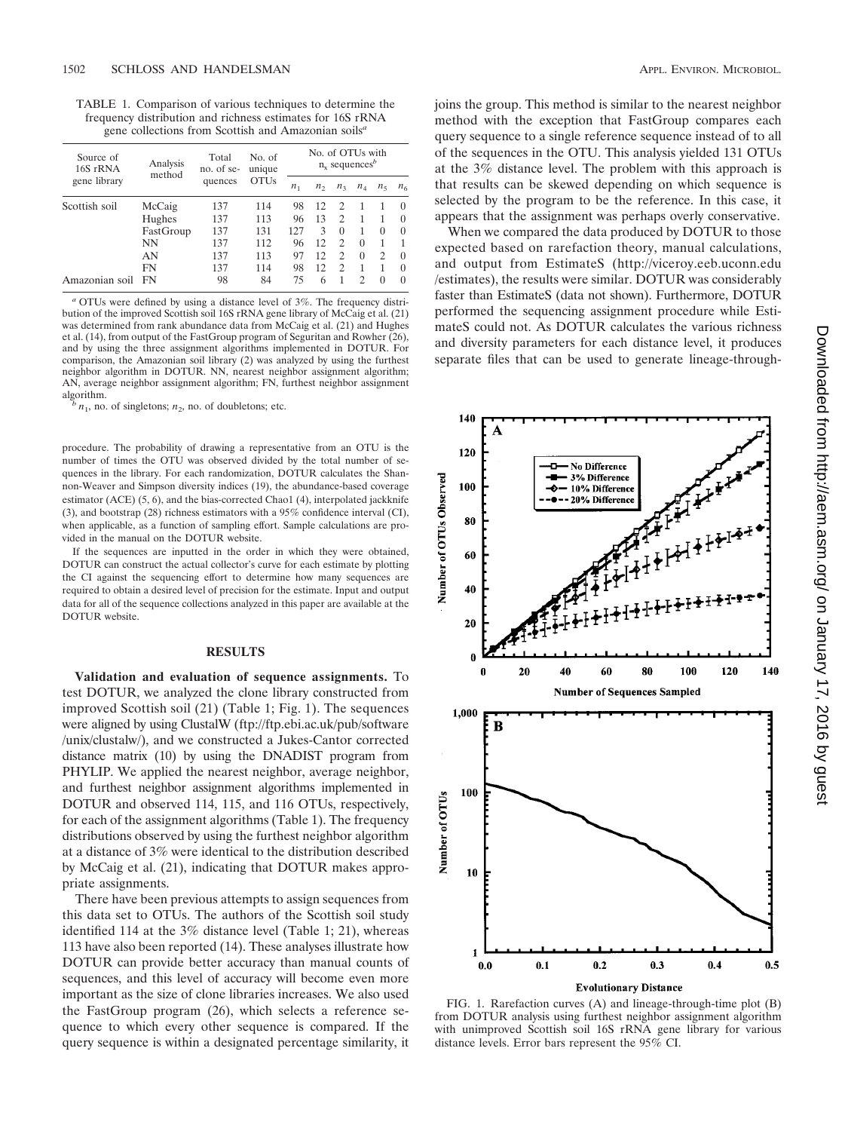TABLE 1. Comparison of various techniques to determine the frequency distribution and richness estimates for 16S rRNA gene collections from Scottish and Amazonian soils*<sup>a</sup>*

| Source of<br>16S rRNA<br>gene library | Analysis<br>method | Total<br>no. of se-<br>quences | No. of<br>unique<br><b>OTUs</b> | No. of OTUs with<br>$n_x$ sequences <sup>b</sup> |         |                |               |                  |              |
|---------------------------------------|--------------------|--------------------------------|---------------------------------|--------------------------------------------------|---------|----------------|---------------|------------------|--------------|
|                                       |                    |                                |                                 | $n_{1}$                                          | $n_{2}$ | $n_{3}$        | $n_4$         | $n_{\leq}$       | $n_{\rm{6}}$ |
| Scottish soil                         | McCaig             | 137                            | 114                             | 98                                               | 12      | 2              |               |                  | $\theta$     |
|                                       | Hughes             | 137                            | 113                             | 96                                               | 13      | $\mathcal{D}$  |               |                  | $\Omega$     |
|                                       | FastGroup          | 137                            | 131                             | 127                                              | 3       | $\Omega$       |               | $\left( \right)$ | $\Omega$     |
|                                       | <b>NN</b>          | 137                            | 112                             | 96                                               | 12      | $\mathcal{D}$  | $\Omega$      |                  |              |
|                                       | AN                 | 137                            | 113                             | 97                                               | 12      | $\mathfrak{D}$ | 0             | 2                | $\Omega$     |
|                                       | <b>FN</b>          | 137                            | 114                             | 98                                               | 12      | $\mathcal{D}$  |               |                  | $\Omega$     |
| Amazonian soil                        | FN                 | 98                             | 84                              | 75                                               | 6       | 1              | $\mathcal{D}$ | $\Omega$         | $\Omega$     |

*<sup>a</sup>* OTUs were defined by using a distance level of 3%. The frequency distribution of the improved Scottish soil 16S rRNA gene library of McCaig et al. (21) was determined from rank abundance data from McCaig et al. (21) and Hughes et al. (14), from output of the FastGroup program of Seguritan and Rowher (26), and by using the three assignment algorithms implemented in DOTUR. For comparison, the Amazonian soil library (2) was analyzed by using the furthest neighbor algorithm in DOTUR. NN, nearest neighbor assignment algorithm; AN, average neighbor assignment algorithm; FN, furthest neighbor assignment

 $n_1$ , no. of singletons;  $n_2$ , no. of doubletons; etc.

procedure. The probability of drawing a representative from an OTU is the number of times the OTU was observed divided by the total number of sequences in the library. For each randomization, DOTUR calculates the Shannon-Weaver and Simpson diversity indices (19), the abundance-based coverage estimator (ACE) (5, 6), and the bias-corrected Chao1 (4), interpolated jackknife (3), and bootstrap (28) richness estimators with a 95% confidence interval (CI), when applicable, as a function of sampling effort. Sample calculations are provided in the manual on the DOTUR website.

If the sequences are inputted in the order in which they were obtained, DOTUR can construct the actual collector's curve for each estimate by plotting the CI against the sequencing effort to determine how many sequences are required to obtain a desired level of precision for the estimate. Input and output data for all of the sequence collections analyzed in this paper are available at the DOTUR website.

## **RESULTS**

**Validation and evaluation of sequence assignments.** To test DOTUR, we analyzed the clone library constructed from improved Scottish soil (21) (Table 1; Fig. 1). The sequences were aligned by using ClustalW (ftp://ftp.ebi.ac.uk/pub/software /unix/clustalw/), and we constructed a Jukes-Cantor corrected distance matrix (10) by using the DNADIST program from PHYLIP. We applied the nearest neighbor, average neighbor, and furthest neighbor assignment algorithms implemented in DOTUR and observed 114, 115, and 116 OTUs, respectively, for each of the assignment algorithms (Table 1). The frequency distributions observed by using the furthest neighbor algorithm at a distance of 3% were identical to the distribution described by McCaig et al. (21), indicating that DOTUR makes appropriate assignments.

There have been previous attempts to assign sequences from this data set to OTUs. The authors of the Scottish soil study identified 114 at the 3% distance level (Table 1; 21), whereas 113 have also been reported (14). These analyses illustrate how DOTUR can provide better accuracy than manual counts of sequences, and this level of accuracy will become even more important as the size of clone libraries increases. We also used the FastGroup program (26), which selects a reference sequence to which every other sequence is compared. If the query sequence is within a designated percentage similarity, it

joins the group. This method is similar to the nearest neighbor method with the exception that FastGroup compares each query sequence to a single reference sequence instead of to all of the sequences in the OTU. This analysis yielded 131 OTUs at the 3% distance level. The problem with this approach is that results can be skewed depending on which sequence is selected by the program to be the reference. In this case, it appears that the assignment was perhaps overly conservative.

When we compared the data produced by DOTUR to those expected based on rarefaction theory, manual calculations, and output from EstimateS (http://viceroy.eeb.uconn.edu /estimates), the results were similar. DOTUR was considerably faster than EstimateS (data not shown). Furthermore, DOTUR performed the sequencing assignment procedure while EstimateS could not. As DOTUR calculates the various richness and diversity parameters for each distance level, it produces separate files that can be used to generate lineage-through-



Downloaded from http://aem.asm.org/ on January 17, 2016 by gues Downloaded from <http://aem.asm.org/> on January 17, 2016 by guest

FIG. 1. Rarefaction curves (A) and lineage-through-time plot (B) from DOTUR analysis using furthest neighbor assignment algorithm with unimproved Scottish soil 16S rRNA gene library for various distance levels. Error bars represent the 95% CI.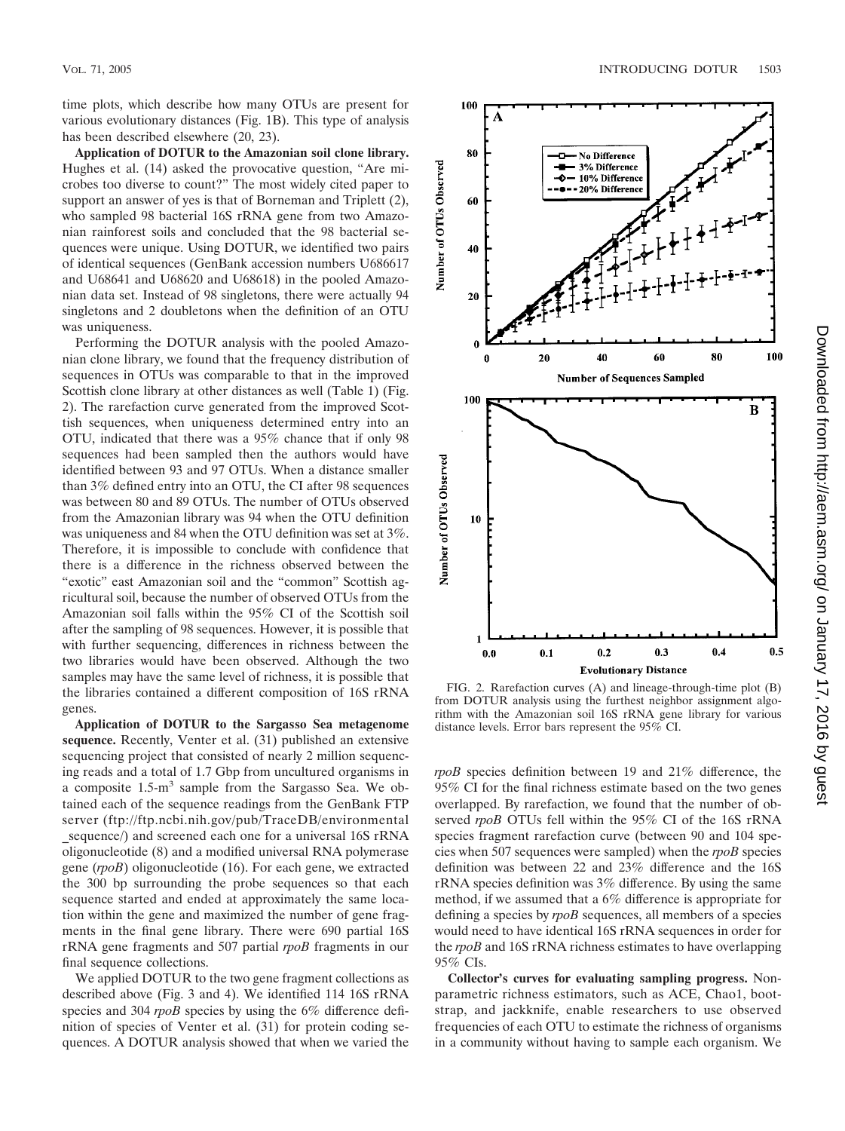time plots, which describe how many OTUs are present for various evolutionary distances (Fig. 1B). This type of analysis has been described elsewhere (20, 23).

**Application of DOTUR to the Amazonian soil clone library.** Hughes et al. (14) asked the provocative question, "Are microbes too diverse to count?" The most widely cited paper to support an answer of yes is that of Borneman and Triplett  $(2)$ , who sampled 98 bacterial 16S rRNA gene from two Amazonian rainforest soils and concluded that the 98 bacterial sequences were unique. Using DOTUR, we identified two pairs of identical sequences (GenBank accession numbers U686617 and U68641 and U68620 and U68618) in the pooled Amazonian data set. Instead of 98 singletons, there were actually 94 singletons and 2 doubletons when the definition of an OTU was uniqueness.

Performing the DOTUR analysis with the pooled Amazonian clone library, we found that the frequency distribution of sequences in OTUs was comparable to that in the improved Scottish clone library at other distances as well (Table 1) (Fig. 2). The rarefaction curve generated from the improved Scottish sequences, when uniqueness determined entry into an OTU, indicated that there was a 95% chance that if only 98 sequences had been sampled then the authors would have identified between 93 and 97 OTUs. When a distance smaller than 3% defined entry into an OTU, the CI after 98 sequences was between 80 and 89 OTUs. The number of OTUs observed from the Amazonian library was 94 when the OTU definition was uniqueness and 84 when the OTU definition was set at 3%. Therefore, it is impossible to conclude with confidence that there is a difference in the richness observed between the "exotic" east Amazonian soil and the "common" Scottish agricultural soil, because the number of observed OTUs from the Amazonian soil falls within the 95% CI of the Scottish soil after the sampling of 98 sequences. However, it is possible that with further sequencing, differences in richness between the two libraries would have been observed. Although the two samples may have the same level of richness, it is possible that the libraries contained a different composition of 16S rRNA genes.

**Application of DOTUR to the Sargasso Sea metagenome sequence.** Recently, Venter et al. (31) published an extensive sequencing project that consisted of nearly 2 million sequencing reads and a total of 1.7 Gbp from uncultured organisms in a composite 1.5-m<sup>3</sup> sample from the Sargasso Sea. We obtained each of the sequence readings from the GenBank FTP server (ftp://ftp.ncbi.nih.gov/pub/TraceDB/environmental sequence/) and screened each one for a universal 16S rRNA oligonucleotide (8) and a modified universal RNA polymerase gene (*rpoB*) oligonucleotide (16). For each gene, we extracted the 300 bp surrounding the probe sequences so that each sequence started and ended at approximately the same location within the gene and maximized the number of gene fragments in the final gene library. There were 690 partial 16S rRNA gene fragments and 507 partial *rpoB* fragments in our final sequence collections.

We applied DOTUR to the two gene fragment collections as described above (Fig. 3 and 4). We identified 114 16S rRNA species and 304 *rpoB* species by using the 6% difference definition of species of Venter et al. (31) for protein coding sequences. A DOTUR analysis showed that when we varied the



FIG. 2. Rarefaction curves (A) and lineage-through-time plot (B) from DOTUR analysis using the furthest neighbor assignment algorithm with the Amazonian soil 16S rRNA gene library for various distance levels. Error bars represent the 95% CI.

*rpoB* species definition between 19 and 21% difference, the 95% CI for the final richness estimate based on the two genes overlapped. By rarefaction, we found that the number of observed *rpoB* OTUs fell within the 95% CI of the 16S rRNA species fragment rarefaction curve (between 90 and 104 species when 507 sequences were sampled) when the *rpoB* species definition was between 22 and 23% difference and the 16S rRNA species definition was 3% difference. By using the same method, if we assumed that a 6% difference is appropriate for defining a species by *rpoB* sequences, all members of a species would need to have identical 16S rRNA sequences in order for the *rpoB* and 16S rRNA richness estimates to have overlapping 95% CIs.

**Collector's curves for evaluating sampling progress.** Nonparametric richness estimators, such as ACE, Chao1, bootstrap, and jackknife, enable researchers to use observed frequencies of each OTU to estimate the richness of organisms in a community without having to sample each organism. We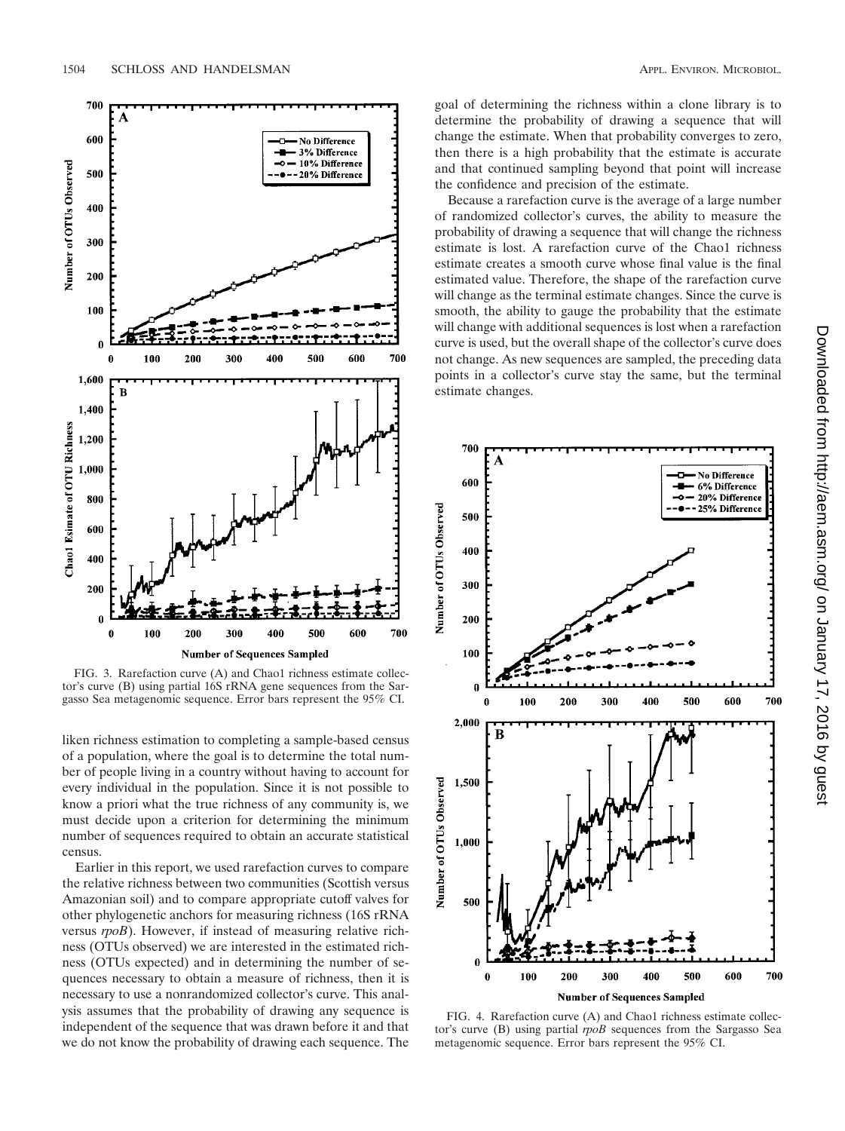

FIG. 3. Rarefaction curve (A) and Chao1 richness estimate collector's curve (B) using partial 16S rRNA gene sequences from the Sargasso Sea metagenomic sequence. Error bars represent the 95% CI.

liken richness estimation to completing a sample-based census of a population, where the goal is to determine the total number of people living in a country without having to account for every individual in the population. Since it is not possible to know a priori what the true richness of any community is, we must decide upon a criterion for determining the minimum number of sequences required to obtain an accurate statistical census.

Earlier in this report, we used rarefaction curves to compare the relative richness between two communities (Scottish versus Amazonian soil) and to compare appropriate cutoff valves for other phylogenetic anchors for measuring richness (16S rRNA versus *rpoB*). However, if instead of measuring relative richness (OTUs observed) we are interested in the estimated richness (OTUs expected) and in determining the number of sequences necessary to obtain a measure of richness, then it is necessary to use a nonrandomized collector's curve. This analysis assumes that the probability of drawing any sequence is independent of the sequence that was drawn before it and that we do not know the probability of drawing each sequence. The

goal of determining the richness within a clone library is to determine the probability of drawing a sequence that will change the estimate. When that probability converges to zero, then there is a high probability that the estimate is accurate and that continued sampling beyond that point will increase the confidence and precision of the estimate.

Because a rarefaction curve is the average of a large number of randomized collector's curves, the ability to measure the probability of drawing a sequence that will change the richness estimate is lost. A rarefaction curve of the Chao1 richness estimate creates a smooth curve whose final value is the final estimated value. Therefore, the shape of the rarefaction curve will change as the terminal estimate changes. Since the curve is smooth, the ability to gauge the probability that the estimate will change with additional sequences is lost when a rarefaction curve is used, but the overall shape of the collector's curve does not change. As new sequences are sampled, the preceding data points in a collector's curve stay the same, but the terminal estimate changes.



FIG. 4. Rarefaction curve (A) and Chao1 richness estimate collector's curve (B) using partial *rpoB* sequences from the Sargasso Sea metagenomic sequence. Error bars represent the 95% CI.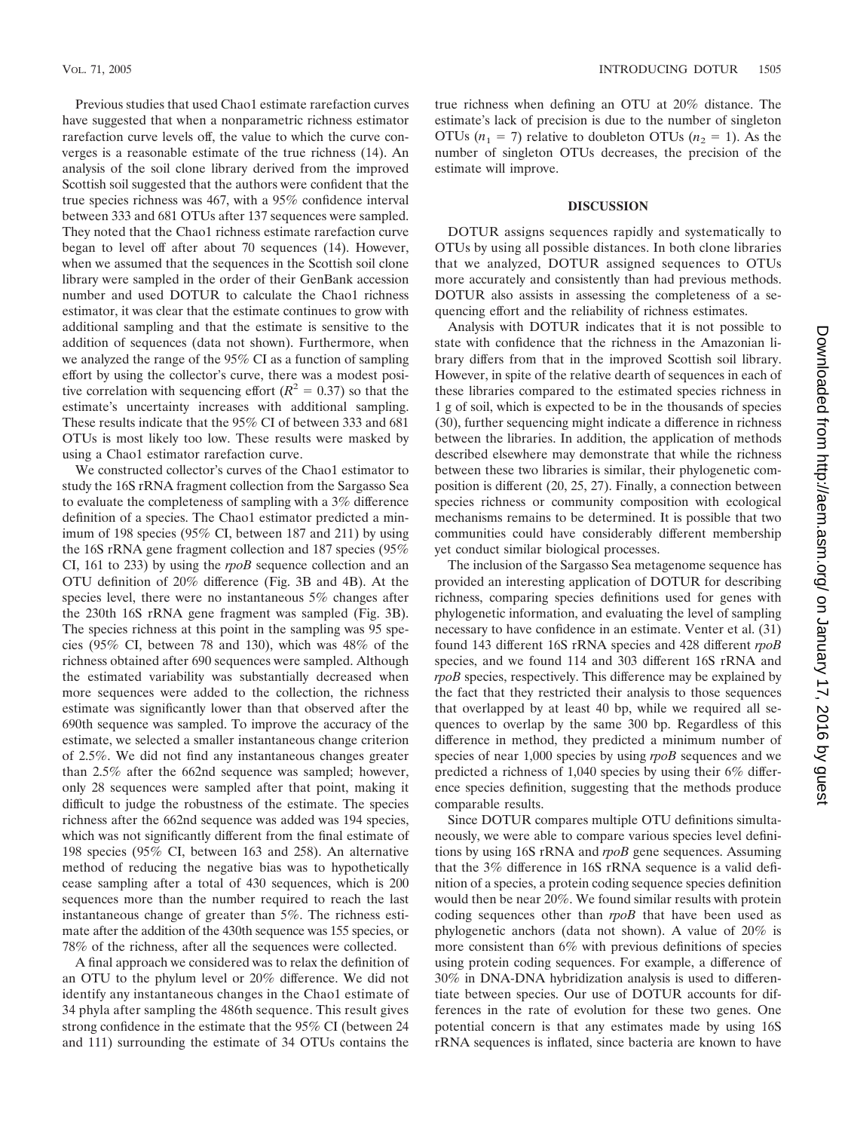Previous studies that used Chao1 estimate rarefaction curves have suggested that when a nonparametric richness estimator rarefaction curve levels off, the value to which the curve converges is a reasonable estimate of the true richness (14). An analysis of the soil clone library derived from the improved Scottish soil suggested that the authors were confident that the true species richness was 467, with a 95% confidence interval between 333 and 681 OTUs after 137 sequences were sampled. They noted that the Chao1 richness estimate rarefaction curve began to level off after about 70 sequences (14). However, when we assumed that the sequences in the Scottish soil clone library were sampled in the order of their GenBank accession number and used DOTUR to calculate the Chao1 richness estimator, it was clear that the estimate continues to grow with additional sampling and that the estimate is sensitive to the addition of sequences (data not shown). Furthermore, when we analyzed the range of the 95% CI as a function of sampling effort by using the collector's curve, there was a modest positive correlation with sequencing effort  $(R^2 = 0.37)$  so that the estimate's uncertainty increases with additional sampling. These results indicate that the 95% CI of between 333 and 681 OTUs is most likely too low. These results were masked by using a Chao1 estimator rarefaction curve.

We constructed collector's curves of the Chao1 estimator to study the 16S rRNA fragment collection from the Sargasso Sea to evaluate the completeness of sampling with a 3% difference definition of a species. The Chao1 estimator predicted a minimum of 198 species (95% CI, between 187 and 211) by using the 16S rRNA gene fragment collection and 187 species (95% CI, 161 to 233) by using the *rpoB* sequence collection and an OTU definition of 20% difference (Fig. 3B and 4B). At the species level, there were no instantaneous 5% changes after the 230th 16S rRNA gene fragment was sampled (Fig. 3B). The species richness at this point in the sampling was 95 species (95% CI, between 78 and 130), which was 48% of the richness obtained after 690 sequences were sampled. Although the estimated variability was substantially decreased when more sequences were added to the collection, the richness estimate was significantly lower than that observed after the 690th sequence was sampled. To improve the accuracy of the estimate, we selected a smaller instantaneous change criterion of 2.5%. We did not find any instantaneous changes greater than 2.5% after the 662nd sequence was sampled; however, only 28 sequences were sampled after that point, making it difficult to judge the robustness of the estimate. The species richness after the 662nd sequence was added was 194 species, which was not significantly different from the final estimate of 198 species (95% CI, between 163 and 258). An alternative method of reducing the negative bias was to hypothetically cease sampling after a total of 430 sequences, which is 200 sequences more than the number required to reach the last instantaneous change of greater than 5%. The richness estimate after the addition of the 430th sequence was 155 species, or 78% of the richness, after all the sequences were collected.

A final approach we considered was to relax the definition of an OTU to the phylum level or 20% difference. We did not identify any instantaneous changes in the Chao1 estimate of 34 phyla after sampling the 486th sequence. This result gives strong confidence in the estimate that the 95% CI (between 24 and 111) surrounding the estimate of 34 OTUs contains the

true richness when defining an OTU at 20% distance. The estimate's lack of precision is due to the number of singleton OTUs  $(n_1 = 7)$  relative to doubleton OTUs  $(n_2 = 1)$ . As the number of singleton OTUs decreases, the precision of the estimate will improve.

## **DISCUSSION**

DOTUR assigns sequences rapidly and systematically to OTUs by using all possible distances. In both clone libraries that we analyzed, DOTUR assigned sequences to OTUs more accurately and consistently than had previous methods. DOTUR also assists in assessing the completeness of a sequencing effort and the reliability of richness estimates.

Analysis with DOTUR indicates that it is not possible to state with confidence that the richness in the Amazonian library differs from that in the improved Scottish soil library. However, in spite of the relative dearth of sequences in each of these libraries compared to the estimated species richness in 1 g of soil, which is expected to be in the thousands of species (30), further sequencing might indicate a difference in richness between the libraries. In addition, the application of methods described elsewhere may demonstrate that while the richness between these two libraries is similar, their phylogenetic composition is different (20, 25, 27). Finally, a connection between species richness or community composition with ecological mechanisms remains to be determined. It is possible that two communities could have considerably different membership yet conduct similar biological processes.

The inclusion of the Sargasso Sea metagenome sequence has provided an interesting application of DOTUR for describing richness, comparing species definitions used for genes with phylogenetic information, and evaluating the level of sampling necessary to have confidence in an estimate. Venter et al. (31) found 143 different 16S rRNA species and 428 different *rpoB* species, and we found 114 and 303 different 16S rRNA and *rpoB* species, respectively. This difference may be explained by the fact that they restricted their analysis to those sequences that overlapped by at least 40 bp, while we required all sequences to overlap by the same 300 bp. Regardless of this difference in method, they predicted a minimum number of species of near 1,000 species by using *rpoB* sequences and we predicted a richness of 1,040 species by using their 6% difference species definition, suggesting that the methods produce comparable results.

Since DOTUR compares multiple OTU definitions simultaneously, we were able to compare various species level definitions by using 16S rRNA and *rpoB* gene sequences. Assuming that the 3% difference in 16S rRNA sequence is a valid definition of a species, a protein coding sequence species definition would then be near 20%. We found similar results with protein coding sequences other than *rpoB* that have been used as phylogenetic anchors (data not shown). A value of 20% is more consistent than 6% with previous definitions of species using protein coding sequences. For example, a difference of 30% in DNA-DNA hybridization analysis is used to differentiate between species. Our use of DOTUR accounts for differences in the rate of evolution for these two genes. One potential concern is that any estimates made by using 16S rRNA sequences is inflated, since bacteria are known to have